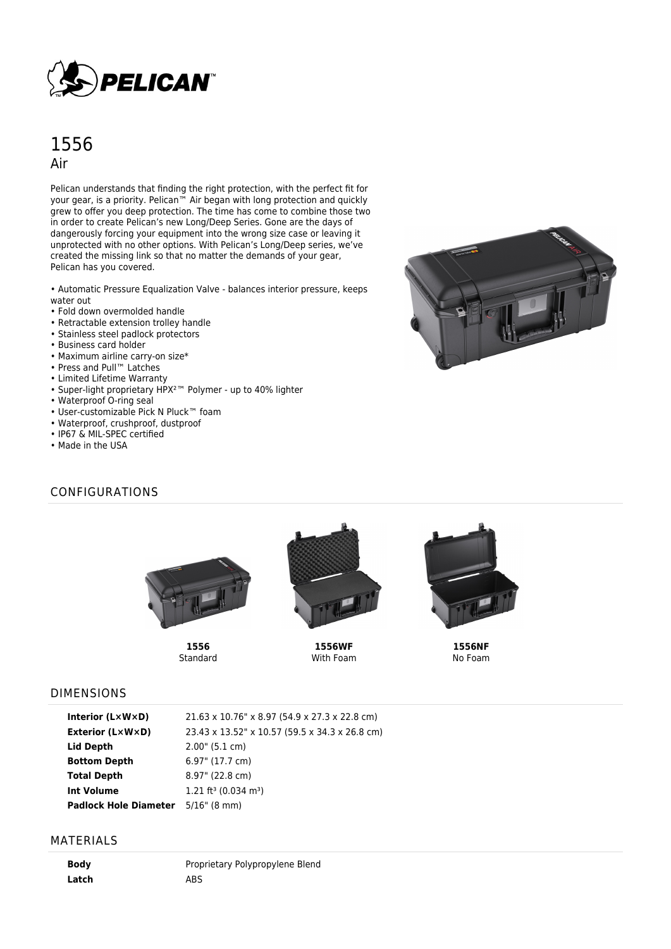

# 1556 Air

Pelican understands that finding the right protection, with the perfect fit for your gear, is a priority. Pelican<sup>™</sup> Air began with long protection and quickly grew to offer you deep protection. The time has come to combine those two in order to create Pelican's new Long/Deep Series. Gone are the days of dangerously forcing your equipment into the wrong size case or leaving it unprotected with no other options. With Pelican's Long/Deep series, we've created the missing link so that no matter the demands of your gear, Pelican has you covered.

• Automatic Pressure Equalization Valve - balances interior pressure, keeps water out

- Fold down overmolded handle
- Retractable extension trolley handle
- Stainless steel padlock protectors
- Business card holder
- Maximum airline carry-on size\*
- Press and Pull™ Latches
- Limited Lifetime Warranty
- Super-light proprietary HPX²™ Polymer up to 40% lighter
- Waterproof O-ring seal
- User-customizable Pick N Pluck™ foam
- Waterproof, crushproof, dustproof
- IP67 & MIL-SPEC certified
- Made in the USA

# CONFIGURATIONS



**1556 Standard** 



**1556WF** With Foam



**1556NF** No Foam

#### DIMENSIONS

| Interior (LxWxD)             | 21.63 x 10.76" x 8.97 (54.9 x 27.3 x 22.8 cm)  |
|------------------------------|------------------------------------------------|
| Exterior (L×W×D)             | 23.43 x 13.52" x 10.57 (59.5 x 34.3 x 26.8 cm) |
| Lid Depth                    | $2.00$ " (5.1 cm)                              |
| <b>Bottom Depth</b>          | 6.97" (17.7 cm)                                |
| <b>Total Depth</b>           | $8.97$ " (22.8 cm)                             |
| <b>Int Volume</b>            | 1.21 ft <sup>3</sup> (0.034 m <sup>3</sup> )   |
| <b>Padlock Hole Diameter</b> | $5/16$ " (8 mm)                                |

#### MATERIALS

**Body** Proprietary Polypropylene Blend Latch ABS